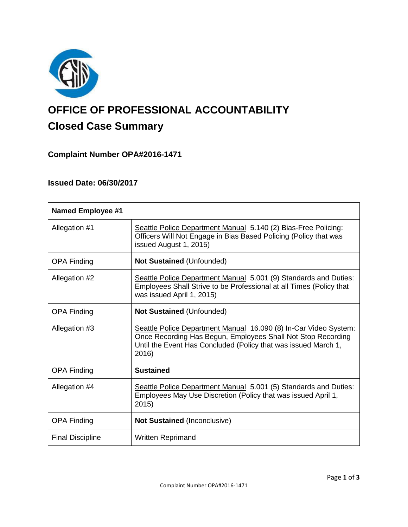

# **OFFICE OF PROFESSIONAL ACCOUNTABILITY Closed Case Summary**

# **Complaint Number OPA#2016-1471**

# **Issued Date: 06/30/2017**

| <b>Named Employee #1</b> |                                                                                                                                                                                                             |
|--------------------------|-------------------------------------------------------------------------------------------------------------------------------------------------------------------------------------------------------------|
| Allegation #1            | Seattle Police Department Manual 5.140 (2) Bias-Free Policing:<br>Officers Will Not Engage in Bias Based Policing (Policy that was<br>issued August 1, 2015)                                                |
| <b>OPA Finding</b>       | <b>Not Sustained (Unfounded)</b>                                                                                                                                                                            |
| Allegation #2            | Seattle Police Department Manual 5.001 (9) Standards and Duties:<br>Employees Shall Strive to be Professional at all Times (Policy that<br>was issued April 1, 2015)                                        |
| <b>OPA Finding</b>       | <b>Not Sustained (Unfounded)</b>                                                                                                                                                                            |
| Allegation #3            | Seattle Police Department Manual 16.090 (8) In-Car Video System:<br>Once Recording Has Begun, Employees Shall Not Stop Recording<br>Until the Event Has Concluded (Policy that was issued March 1,<br>2016) |
| <b>OPA Finding</b>       | <b>Sustained</b>                                                                                                                                                                                            |
| Allegation #4            | Seattle Police Department Manual 5.001 (5) Standards and Duties:<br>Employees May Use Discretion (Policy that was issued April 1,<br>2015)                                                                  |
| <b>OPA Finding</b>       | <b>Not Sustained (Inconclusive)</b>                                                                                                                                                                         |
| <b>Final Discipline</b>  | <b>Written Reprimand</b>                                                                                                                                                                                    |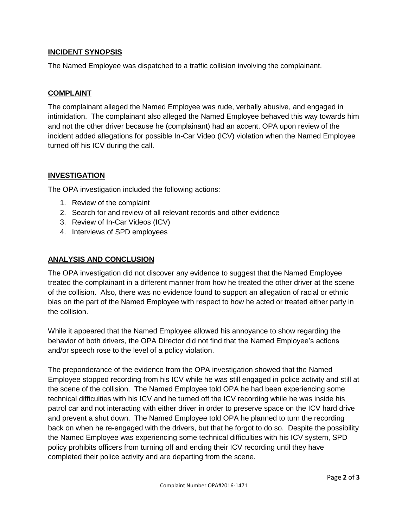# **INCIDENT SYNOPSIS**

The Named Employee was dispatched to a traffic collision involving the complainant.

# **COMPLAINT**

The complainant alleged the Named Employee was rude, verbally abusive, and engaged in intimidation. The complainant also alleged the Named Employee behaved this way towards him and not the other driver because he (complainant) had an accent. OPA upon review of the incident added allegations for possible In-Car Video (ICV) violation when the Named Employee turned off his ICV during the call.

# **INVESTIGATION**

The OPA investigation included the following actions:

- 1. Review of the complaint
- 2. Search for and review of all relevant records and other evidence
- 3. Review of In-Car Videos (ICV)
- 4. Interviews of SPD employees

## **ANALYSIS AND CONCLUSION**

The OPA investigation did not discover any evidence to suggest that the Named Employee treated the complainant in a different manner from how he treated the other driver at the scene of the collision. Also, there was no evidence found to support an allegation of racial or ethnic bias on the part of the Named Employee with respect to how he acted or treated either party in the collision.

While it appeared that the Named Employee allowed his annoyance to show regarding the behavior of both drivers, the OPA Director did not find that the Named Employee's actions and/or speech rose to the level of a policy violation.

The preponderance of the evidence from the OPA investigation showed that the Named Employee stopped recording from his ICV while he was still engaged in police activity and still at the scene of the collision. The Named Employee told OPA he had been experiencing some technical difficulties with his ICV and he turned off the ICV recording while he was inside his patrol car and not interacting with either driver in order to preserve space on the ICV hard drive and prevent a shut down. The Named Employee told OPA he planned to turn the recording back on when he re-engaged with the drivers, but that he forgot to do so. Despite the possibility the Named Employee was experiencing some technical difficulties with his ICV system, SPD policy prohibits officers from turning off and ending their ICV recording until they have completed their police activity and are departing from the scene.